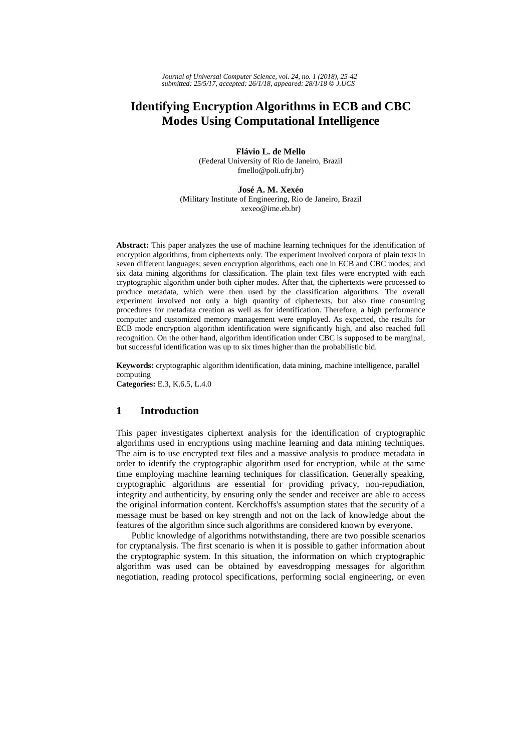# **Identifying Encryption Algorithms in ECB and CBC Modes Using Computational Intelligence**

**Flávio L. de Mello**  (Federal University of Rio de Janeiro, Brazil fmello@poli.ufrj.br)

**José A. M. Xexéo**  (Military Institute of Engineering, Rio de Janeiro, Brazil xexeo@ime.eb.br)

**Abstract:** This paper analyzes the use of machine learning techniques for the identification of encryption algorithms, from ciphertexts only. The experiment involved corpora of plain texts in seven different languages; seven encryption algorithms, each one in ECB and CBC modes; and six data mining algorithms for classification. The plain text files were encrypted with each cryptographic algorithm under both cipher modes. After that, the ciphertexts were processed to produce metadata, which were then used by the classification algorithms. The overall experiment involved not only a high quantity of ciphertexts, but also time consuming procedures for metadata creation as well as for identification. Therefore, a high performance computer and customized memory management were employed. As expected, the results for ECB mode encryption algorithm identification were significantly high, and also reached full recognition. On the other hand, algorithm identification under CBC is supposed to be marginal, but successful identification was up to six times higher than the probabilistic bid.

**Keywords:** cryptographic algorithm identification, data mining, machine intelligence, parallel computing **Categories:** E.3, K.6.5, L.4.0

## **1 Introduction**

This paper investigates ciphertext analysis for the identification of cryptographic algorithms used in encryptions using machine learning and data mining techniques. The aim is to use encrypted text files and a massive analysis to produce metadata in order to identify the cryptographic algorithm used for encryption, while at the same time employing machine learning techniques for classification. Generally speaking, cryptographic algorithms are essential for providing privacy, non-repudiation, integrity and authenticity, by ensuring only the sender and receiver are able to access the original information content. Kerckhoffs's assumption states that the security of a message must be based on key strength and not on the lack of knowledge about the features of the algorithm since such algorithms are considered known by everyone.

Public knowledge of algorithms notwithstanding, there are two possible scenarios for cryptanalysis. The first scenario is when it is possible to gather information about the cryptographic system. In this situation, the information on which cryptographic algorithm was used can be obtained by eavesdropping messages for algorithm negotiation, reading protocol specifications, performing social engineering, or even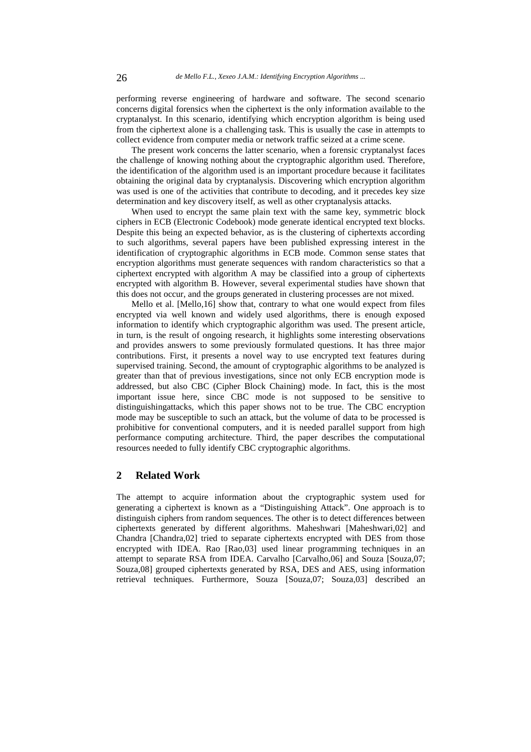performing reverse engineering of hardware and software. The second scenario concerns digital forensics when the ciphertext is the only information available to the cryptanalyst. In this scenario, identifying which encryption algorithm is being used from the ciphertext alone is a challenging task. This is usually the case in attempts to collect evidence from computer media or network traffic seized at a crime scene.

The present work concerns the latter scenario, when a forensic cryptanalyst faces the challenge of knowing nothing about the cryptographic algorithm used. Therefore, the identification of the algorithm used is an important procedure because it facilitates obtaining the original data by cryptanalysis. Discovering which encryption algorithm was used is one of the activities that contribute to decoding, and it precedes key size determination and key discovery itself, as well as other cryptanalysis attacks.

When used to encrypt the same plain text with the same key, symmetric block ciphers in ECB (Electronic Codebook) mode generate identical encrypted text blocks. Despite this being an expected behavior, as is the clustering of ciphertexts according to such algorithms, several papers have been published expressing interest in the identification of cryptographic algorithms in ECB mode. Common sense states that encryption algorithms must generate sequences with random characteristics so that a ciphertext encrypted with algorithm A may be classified into a group of ciphertexts encrypted with algorithm B. However, several experimental studies have shown that this does not occur, and the groups generated in clustering processes are not mixed.

Mello et al. [Mello,16] show that, contrary to what one would expect from files encrypted via well known and widely used algorithms, there is enough exposed information to identify which cryptographic algorithm was used. The present article, in turn, is the result of ongoing research, it highlights some interesting observations and provides answers to some previously formulated questions. It has three major contributions. First, it presents a novel way to use encrypted text features during supervised training. Second, the amount of cryptographic algorithms to be analyzed is greater than that of previous investigations, since not only ECB encryption mode is addressed, but also CBC (Cipher Block Chaining) mode. In fact, this is the most important issue here, since CBC mode is not supposed to be sensitive to distinguishingattacks, which this paper shows not to be true. The CBC encryption mode may be susceptible to such an attack, but the volume of data to be processed is prohibitive for conventional computers, and it is needed parallel support from high performance computing architecture. Third, the paper describes the computational resources needed to fully identify CBC cryptographic algorithms.

### **2 Related Work**

The attempt to acquire information about the cryptographic system used for generating a ciphertext is known as a "Distinguishing Attack". One approach is to distinguish ciphers from random sequences. The other is to detect differences between ciphertexts generated by different algorithms. Maheshwari [Maheshwari,02] and Chandra [Chandra,02] tried to separate ciphertexts encrypted with DES from those encrypted with IDEA. Rao [Rao,03] used linear programming techniques in an attempt to separate RSA from IDEA. Carvalho [Carvalho,06] and Souza [Souza,07; Souza,08] grouped ciphertexts generated by RSA, DES and AES, using information retrieval techniques. Furthermore, Souza [Souza,07; Souza,03] described an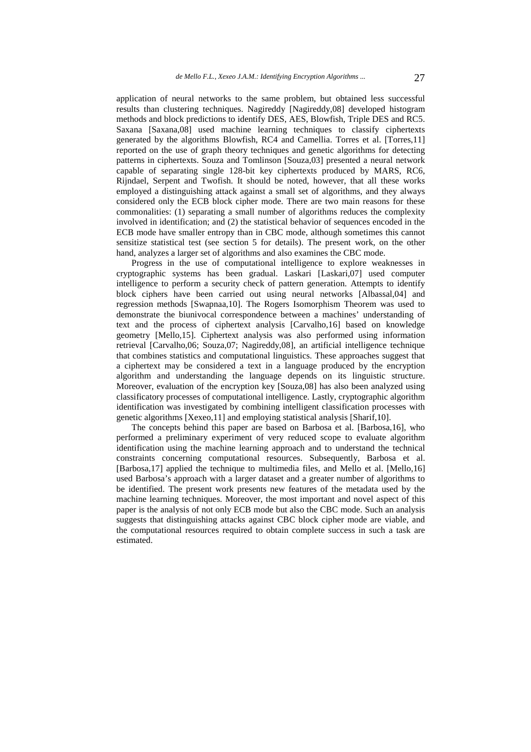application of neural networks to the same problem, but obtained less successful results than clustering techniques. Nagireddy [Nagireddy,08] developed histogram methods and block predictions to identify DES, AES, Blowfish, Triple DES and RC5. Saxana [Saxana,08] used machine learning techniques to classify ciphertexts generated by the algorithms Blowfish, RC4 and Camellia. Torres et al. [Torres,11] reported on the use of graph theory techniques and genetic algorithms for detecting patterns in ciphertexts. Souza and Tomlinson [Souza,03] presented a neural network capable of separating single 128-bit key ciphertexts produced by MARS, RC6, Rijndael, Serpent and Twofish. It should be noted, however, that all these works employed a distinguishing attack against a small set of algorithms, and they always considered only the ECB block cipher mode. There are two main reasons for these commonalities: (1) separating a small number of algorithms reduces the complexity involved in identification; and (2) the statistical behavior of sequences encoded in the ECB mode have smaller entropy than in CBC mode, although sometimes this cannot sensitize statistical test (see section 5 for details). The present work, on the other hand, analyzes a larger set of algorithms and also examines the CBC mode.

Progress in the use of computational intelligence to explore weaknesses in cryptographic systems has been gradual. Laskari [Laskari,07] used computer intelligence to perform a security check of pattern generation. Attempts to identify block ciphers have been carried out using neural networks [Albassal,04] and regression methods [Swapnaa,10]. The Rogers Isomorphism Theorem was used to demonstrate the biunivocal correspondence between a machines' understanding of text and the process of ciphertext analysis [Carvalho,16] based on knowledge geometry [Mello,15]. Ciphertext analysis was also performed using information retrieval [Carvalho,06; Souza,07; Nagireddy,08], an artificial intelligence technique that combines statistics and computational linguistics. These approaches suggest that a ciphertext may be considered a text in a language produced by the encryption algorithm and understanding the language depends on its linguistic structure. Moreover, evaluation of the encryption key [Souza,08] has also been analyzed using classificatory processes of computational intelligence. Lastly, cryptographic algorithm identification was investigated by combining intelligent classification processes with genetic algorithms [Xexeo,11] and employing statistical analysis [Sharif,10].

The concepts behind this paper are based on Barbosa et al. [Barbosa,16], who performed a preliminary experiment of very reduced scope to evaluate algorithm identification using the machine learning approach and to understand the technical constraints concerning computational resources. Subsequently, Barbosa et al. [Barbosa,17] applied the technique to multimedia files, and Mello et al. [Mello,16] used Barbosa's approach with a larger dataset and a greater number of algorithms to be identified. The present work presents new features of the metadata used by the machine learning techniques. Moreover, the most important and novel aspect of this paper is the analysis of not only ECB mode but also the CBC mode. Such an analysis suggests that distinguishing attacks against CBC block cipher mode are viable, and the computational resources required to obtain complete success in such a task are estimated.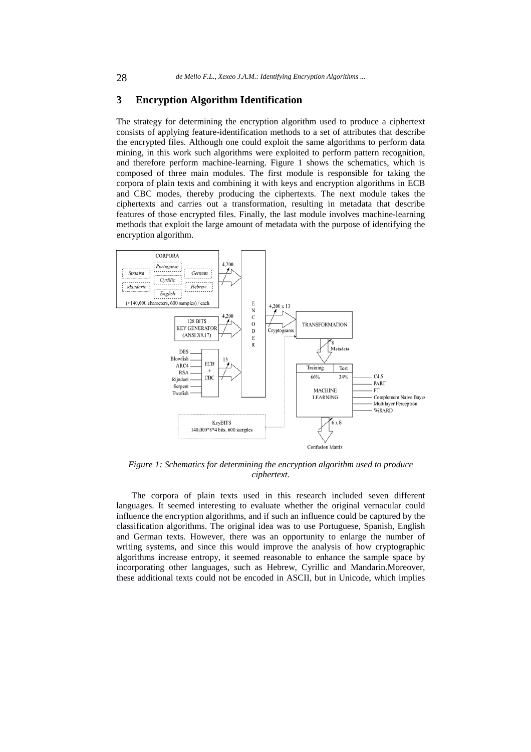#### **3 Encryption Algorithm Identification**

The strategy for determining the encryption algorithm used to produce a ciphertext consists of applying feature-identification methods to a set of attributes that describe the encrypted files. Although one could exploit the same algorithms to perform data mining, in this work such algorithms were exploited to perform pattern recognition, and therefore perform machine-learning. Figure 1 shows the schematics, which is composed of three main modules. The first module is responsible for taking the corpora of plain texts and combining it with keys and encryption algorithms in ECB and CBC modes, thereby producing the ciphertexts. The next module takes the ciphertexts and carries out a transformation, resulting in metadata that describe features of those encrypted files. Finally, the last module involves machine-learning methods that exploit the large amount of metadata with the purpose of identifying the encryption algorithm.



*Figure 1: Schematics for determining the encryption algorithm used to produce ciphertext.* 

The corpora of plain texts used in this research included seven different languages. It seemed interesting to evaluate whether the original vernacular could influence the encryption algorithms, and if such an influence could be captured by the classification algorithms. The original idea was to use Portuguese, Spanish, English and German texts. However, there was an opportunity to enlarge the number of writing systems, and since this would improve the analysis of how cryptographic algorithms increase entropy, it seemed reasonable to enhance the sample space by incorporating other languages, such as Hebrew, Cyrillic and Mandarin.Moreover, these additional texts could not be encoded in ASCII, but in Unicode, which implies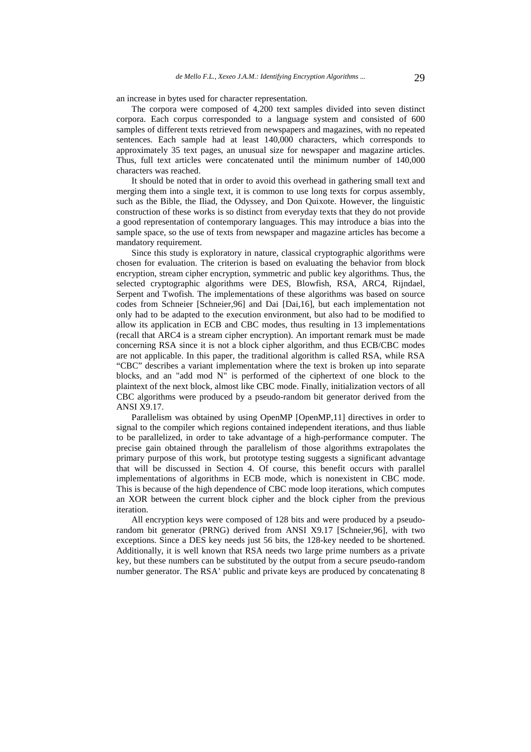an increase in bytes used for character representation.

The corpora were composed of 4,200 text samples divided into seven distinct corpora. Each corpus corresponded to a language system and consisted of 600 samples of different texts retrieved from newspapers and magazines, with no repeated sentences. Each sample had at least 140,000 characters, which corresponds to approximately 35 text pages, an unusual size for newspaper and magazine articles. Thus, full text articles were concatenated until the minimum number of 140,000 characters was reached.

It should be noted that in order to avoid this overhead in gathering small text and merging them into a single text, it is common to use long texts for corpus assembly, such as the Bible, the Iliad, the Odyssey, and Don Quixote. However, the linguistic construction of these works is so distinct from everyday texts that they do not provide a good representation of contemporary languages. This may introduce a bias into the sample space, so the use of texts from newspaper and magazine articles has become a mandatory requirement.

Since this study is exploratory in nature, classical cryptographic algorithms were chosen for evaluation. The criterion is based on evaluating the behavior from block encryption, stream cipher encryption, symmetric and public key algorithms. Thus, the selected cryptographic algorithms were DES, Blowfish, RSA, ARC4, Rijndael, Serpent and Twofish. The implementations of these algorithms was based on source codes from Schneier [Schneier,96] and Dai [Dai,16], but each implementation not only had to be adapted to the execution environment, but also had to be modified to allow its application in ECB and CBC modes, thus resulting in 13 implementations (recall that ARC4 is a stream cipher encryption). An important remark must be made concerning RSA since it is not a block cipher algorithm, and thus ECB/CBC modes are not applicable. In this paper, the traditional algorithm is called RSA, while RSA "CBC" describes a variant implementation where the text is broken up into separate blocks, and an "add mod N" is performed of the ciphertext of one block to the plaintext of the next block, almost like CBC mode. Finally, initialization vectors of all CBC algorithms were produced by a pseudo-random bit generator derived from the ANSI X9.17.

Parallelism was obtained by using OpenMP [OpenMP,11] directives in order to signal to the compiler which regions contained independent iterations, and thus liable to be parallelized, in order to take advantage of a high-performance computer. The precise gain obtained through the parallelism of those algorithms extrapolates the primary purpose of this work, but prototype testing suggests a significant advantage that will be discussed in Section 4. Of course, this benefit occurs with parallel implementations of algorithms in ECB mode, which is nonexistent in CBC mode. This is because of the high dependence of CBC mode loop iterations, which computes an XOR between the current block cipher and the block cipher from the previous iteration.

All encryption keys were composed of 128 bits and were produced by a pseudorandom bit generator (PRNG) derived from ANSI X9.17 [Schneier,96], with two exceptions. Since a DES key needs just 56 bits, the 128-key needed to be shortened. Additionally, it is well known that RSA needs two large prime numbers as a private key, but these numbers can be substituted by the output from a secure pseudo-random number generator. The RSA' public and private keys are produced by concatenating 8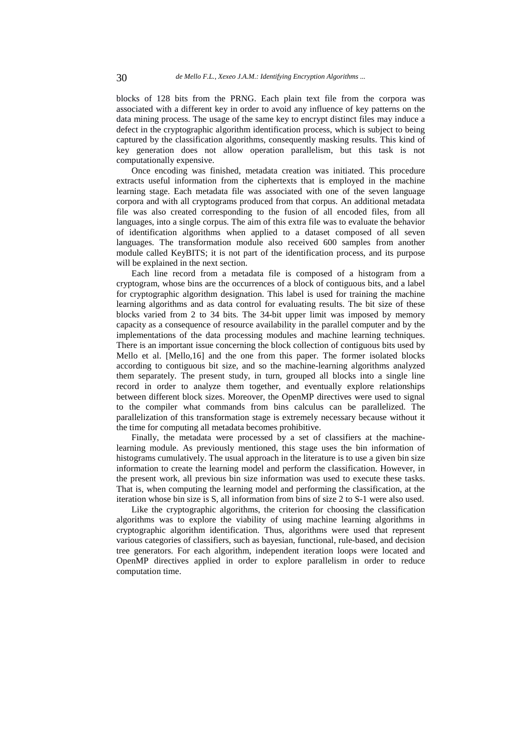blocks of 128 bits from the PRNG. Each plain text file from the corpora was associated with a different key in order to avoid any influence of key patterns on the data mining process. The usage of the same key to encrypt distinct files may induce a defect in the cryptographic algorithm identification process, which is subject to being captured by the classification algorithms, consequently masking results. This kind of key generation does not allow operation parallelism, but this task is not computationally expensive.

Once encoding was finished, metadata creation was initiated. This procedure extracts useful information from the ciphertexts that is employed in the machine learning stage. Each metadata file was associated with one of the seven language corpora and with all cryptograms produced from that corpus. An additional metadata file was also created corresponding to the fusion of all encoded files, from all languages, into a single corpus. The aim of this extra file was to evaluate the behavior of identification algorithms when applied to a dataset composed of all seven languages. The transformation module also received 600 samples from another module called KeyBITS; it is not part of the identification process, and its purpose will be explained in the next section.

Each line record from a metadata file is composed of a histogram from a cryptogram, whose bins are the occurrences of a block of contiguous bits, and a label for cryptographic algorithm designation. This label is used for training the machine learning algorithms and as data control for evaluating results. The bit size of these blocks varied from 2 to 34 bits. The 34-bit upper limit was imposed by memory capacity as a consequence of resource availability in the parallel computer and by the implementations of the data processing modules and machine learning techniques. There is an important issue concerning the block collection of contiguous bits used by Mello et al. [Mello,16] and the one from this paper. The former isolated blocks according to contiguous bit size, and so the machine-learning algorithms analyzed them separately. The present study, in turn, grouped all blocks into a single line record in order to analyze them together, and eventually explore relationships between different block sizes. Moreover, the OpenMP directives were used to signal to the compiler what commands from bins calculus can be parallelized. The parallelization of this transformation stage is extremely necessary because without it the time for computing all metadata becomes prohibitive.

Finally, the metadata were processed by a set of classifiers at the machinelearning module. As previously mentioned, this stage uses the bin information of histograms cumulatively. The usual approach in the literature is to use a given bin size information to create the learning model and perform the classification. However, in the present work, all previous bin size information was used to execute these tasks. That is, when computing the learning model and performing the classification, at the iteration whose bin size is S, all information from bins of size 2 to S-1 were also used.

Like the cryptographic algorithms, the criterion for choosing the classification algorithms was to explore the viability of using machine learning algorithms in cryptographic algorithm identification. Thus, algorithms were used that represent various categories of classifiers, such as bayesian, functional, rule-based, and decision tree generators. For each algorithm, independent iteration loops were located and OpenMP directives applied in order to explore parallelism in order to reduce computation time.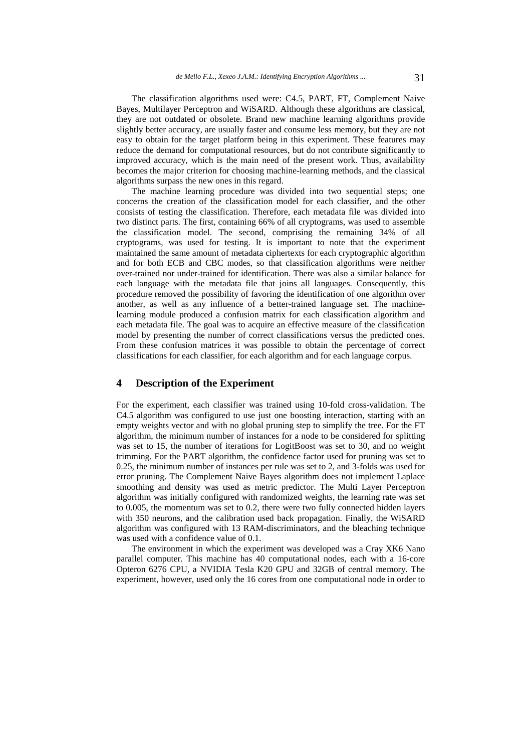The classification algorithms used were: C4.5, PART, FT, Complement Naive Bayes, Multilayer Perceptron and WiSARD. Although these algorithms are classical, they are not outdated or obsolete. Brand new machine learning algorithms provide slightly better accuracy, are usually faster and consume less memory, but they are not easy to obtain for the target platform being in this experiment. These features may reduce the demand for computational resources, but do not contribute significantly to improved accuracy, which is the main need of the present work. Thus, availability becomes the major criterion for choosing machine-learning methods, and the classical algorithms surpass the new ones in this regard.

The machine learning procedure was divided into two sequential steps; one concerns the creation of the classification model for each classifier, and the other consists of testing the classification. Therefore, each metadata file was divided into two distinct parts. The first, containing 66% of all cryptograms, was used to assemble the classification model. The second, comprising the remaining 34% of all cryptograms, was used for testing. It is important to note that the experiment maintained the same amount of metadata ciphertexts for each cryptographic algorithm and for both ECB and CBC modes, so that classification algorithms were neither over-trained nor under-trained for identification. There was also a similar balance for each language with the metadata file that joins all languages. Consequently, this procedure removed the possibility of favoring the identification of one algorithm over another, as well as any influence of a better-trained language set. The machinelearning module produced a confusion matrix for each classification algorithm and each metadata file. The goal was to acquire an effective measure of the classification model by presenting the number of correct classifications versus the predicted ones. From these confusion matrices it was possible to obtain the percentage of correct classifications for each classifier, for each algorithm and for each language corpus.

#### **4 Description of the Experiment**

For the experiment, each classifier was trained using 10-fold cross-validation. The C4.5 algorithm was configured to use just one boosting interaction, starting with an empty weights vector and with no global pruning step to simplify the tree. For the FT algorithm, the minimum number of instances for a node to be considered for splitting was set to 15, the number of iterations for LogitBoost was set to 30, and no weight trimming. For the PART algorithm, the confidence factor used for pruning was set to 0.25, the minimum number of instances per rule was set to 2, and 3-folds was used for error pruning. The Complement Naive Bayes algorithm does not implement Laplace smoothing and density was used as metric predictor. The Multi Layer Perceptron algorithm was initially configured with randomized weights, the learning rate was set to 0.005, the momentum was set to 0.2, there were two fully connected hidden layers with 350 neurons, and the calibration used back propagation. Finally, the WiSARD algorithm was configured with 13 RAM-discriminators, and the bleaching technique was used with a confidence value of 0.1.

The environment in which the experiment was developed was a Cray XK6 Nano parallel computer. This machine has 40 computational nodes, each with a 16-core Opteron 6276 CPU, a NVIDIA Tesla K20 GPU and 32GB of central memory. The experiment, however, used only the 16 cores from one computational node in order to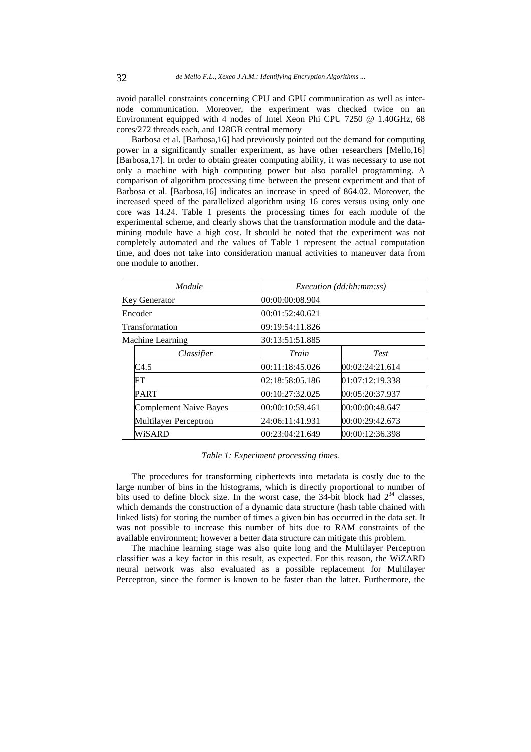avoid parallel constraints concerning CPU and GPU communication as well as internode communication. Moreover, the experiment was checked twice on an Environment equipped with 4 nodes of Intel Xeon Phi CPU 7250 @ 1.40GHz, 68 cores/272 threads each, and 128GB central memory

Barbosa et al. [Barbosa,16] had previously pointed out the demand for computing power in a significantly smaller experiment, as have other researchers [Mello,16] [Barbosa,17]. In order to obtain greater computing ability, it was necessary to use not only a machine with high computing power but also parallel programming. A comparison of algorithm processing time between the present experiment and that of Barbosa et al. [Barbosa,16] indicates an increase in speed of 864.02. Moreover, the increased speed of the parallelized algorithm using 16 cores versus using only one core was 14.24. Table 1 presents the processing times for each module of the experimental scheme, and clearly shows that the transformation module and the datamining module have a high cost. It should be noted that the experiment was not completely automated and the values of Table 1 represent the actual computation time, and does not take into consideration manual activities to maneuver data from one module to another.

|                  | Module                        |                 | <i>Execution</i> (dd:hh:mm:ss) |  |  |  |  |  |  |  |
|------------------|-------------------------------|-----------------|--------------------------------|--|--|--|--|--|--|--|
|                  | <b>Key Generator</b>          | 00:00:00:08.904 |                                |  |  |  |  |  |  |  |
|                  | Encoder                       | 00:01:52:40.621 |                                |  |  |  |  |  |  |  |
|                  | Transformation                | 09:19:54:11.826 |                                |  |  |  |  |  |  |  |
| Machine Learning |                               | 30:13:51:51.885 |                                |  |  |  |  |  |  |  |
|                  | Classifier                    | Train           | <b>Test</b>                    |  |  |  |  |  |  |  |
|                  | C4.5                          | 00:11:18:45.026 | 00:02:24:21.614                |  |  |  |  |  |  |  |
|                  | FT                            | 02:18:58:05.186 | 01:07:12:19.338                |  |  |  |  |  |  |  |
|                  | <b>PART</b>                   | 00:10:27:32.025 | 00:05:20:37.937                |  |  |  |  |  |  |  |
|                  | <b>Complement Naive Bayes</b> | 00:00:10:59.461 | 00:00:00:48.647                |  |  |  |  |  |  |  |
|                  | Multilayer Perceptron         | 24:06:11:41.931 | 00:00:29:42.673                |  |  |  |  |  |  |  |
|                  | WiSARD                        | 00:23:04:21.649 | 00:00:12:36.398                |  |  |  |  |  |  |  |

*Table 1: Experiment processing times.* 

The procedures for transforming ciphertexts into metadata is costly due to the large number of bins in the histograms, which is directly proportional to number of bits used to define block size. In the worst case, the  $34$ -bit block had  $2^{34}$  classes, which demands the construction of a dynamic data structure (hash table chained with linked lists) for storing the number of times a given bin has occurred in the data set. It was not possible to increase this number of bits due to RAM constraints of the available environment; however a better data structure can mitigate this problem.

The machine learning stage was also quite long and the Multilayer Perceptron classifier was a key factor in this result, as expected. For this reason, the WiZARD neural network was also evaluated as a possible replacement for Multilayer Perceptron, since the former is known to be faster than the latter. Furthermore, the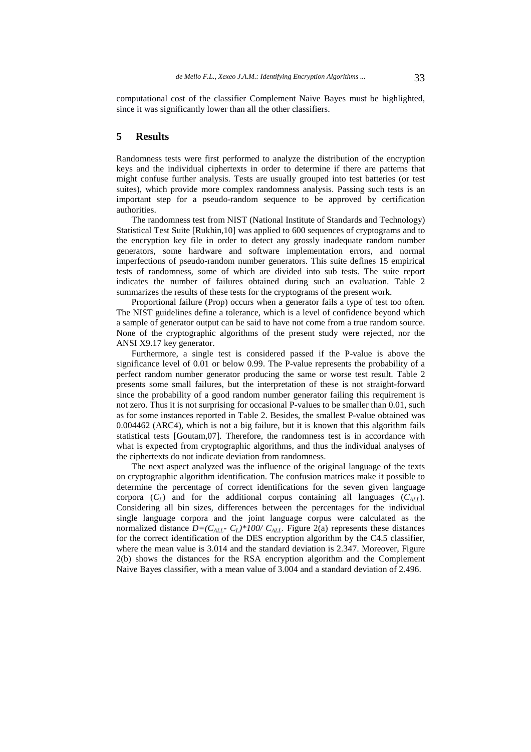computational cost of the classifier Complement Naive Bayes must be highlighted, since it was significantly lower than all the other classifiers.

### **5 Results**

Randomness tests were first performed to analyze the distribution of the encryption keys and the individual ciphertexts in order to determine if there are patterns that might confuse further analysis. Tests are usually grouped into test batteries (or test suites), which provide more complex randomness analysis. Passing such tests is an important step for a pseudo-random sequence to be approved by certification authorities.

The randomness test from NIST (National Institute of Standards and Technology) Statistical Test Suite [Rukhin,10] was applied to 600 sequences of cryptograms and to the encryption key file in order to detect any grossly inadequate random number generators, some hardware and software implementation errors, and normal imperfections of pseudo-random number generators. This suite defines 15 empirical tests of randomness, some of which are divided into sub tests. The suite report indicates the number of failures obtained during such an evaluation. Table 2 summarizes the results of these tests for the cryptograms of the present work.

Proportional failure (Prop) occurs when a generator fails a type of test too often. The NIST guidelines define a tolerance, which is a level of confidence beyond which a sample of generator output can be said to have not come from a true random source. None of the cryptographic algorithms of the present study were rejected, nor the ANSI X9.17 key generator.

Furthermore, a single test is considered passed if the P-value is above the significance level of 0.01 or below 0.99. The P-value represents the probability of a perfect random number generator producing the same or worse test result. Table 2 presents some small failures, but the interpretation of these is not straight-forward since the probability of a good random number generator failing this requirement is not zero. Thus it is not surprising for occasional P-values to be smaller than 0.01, such as for some instances reported in Table 2. Besides, the smallest P-value obtained was 0.004462 (ARC4), which is not a big failure, but it is known that this algorithm fails statistical tests [Goutam,07]. Therefore, the randomness test is in accordance with what is expected from cryptographic algorithms, and thus the individual analyses of the ciphertexts do not indicate deviation from randomness.

The next aspect analyzed was the influence of the original language of the texts on cryptographic algorithm identification. The confusion matrices make it possible to determine the percentage of correct identifications for the seven given language corpora  $(C_L)$  and for the additional corpus containing all languages  $(C_{ALL})$ . Considering all bin sizes, differences between the percentages for the individual single language corpora and the joint language corpus were calculated as the normalized distance  $D=(C_{AII}-C_I)*100/C_{AII}$ . Figure 2(a) represents these distances for the correct identification of the DES encryption algorithm by the C4.5 classifier, where the mean value is 3.014 and the standard deviation is 2.347. Moreover, Figure 2(b) shows the distances for the RSA encryption algorithm and the Complement Naive Bayes classifier, with a mean value of 3.004 and a standard deviation of 2.496.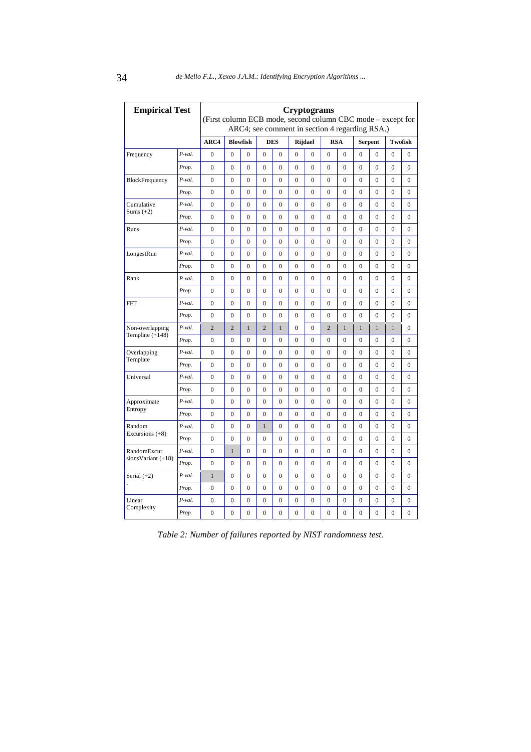| <b>Empirical Test</b> |           | <b>Cryptograms</b><br>(First column ECB mode, second column CBC mode – except for<br>ARC4; see comment in section 4 regarding RSA.) |                 |                  |                  |                  |                |                |                  |                  |                  |                  |                  |                  |
|-----------------------|-----------|-------------------------------------------------------------------------------------------------------------------------------------|-----------------|------------------|------------------|------------------|----------------|----------------|------------------|------------------|------------------|------------------|------------------|------------------|
|                       |           | ARC4                                                                                                                                | <b>Blowfish</b> |                  | <b>DES</b>       |                  | <b>Rijdael</b> |                | <b>RSA</b>       |                  | <b>Serpent</b>   |                  | Twofish          |                  |
| Frequency             | $P$ -val. | $\mathbf{0}$                                                                                                                        | $\theta$        | $\overline{0}$   | $\overline{0}$   | $\mathbf{0}$     | $\overline{0}$ | $\overline{0}$ | $\overline{0}$   | $\overline{0}$   | $\overline{0}$   | $\mathbf{0}$     | $\theta$         | $\mathbf{0}$     |
|                       | Prop.     | $\mathbf{0}$                                                                                                                        | $\mathbf{0}$    | $\overline{0}$   | $\overline{0}$   | $\mathbf{0}$     | $\mathbf{0}$   | $\mathbf{0}$   | $\mathbf{0}$     | $\mathbf{0}$     | $\mathbf{0}$     | $\overline{0}$   | $\mathbf{0}$     | $\mathbf{0}$     |
| BlockFrequency        | $P$ -val. | $\boldsymbol{0}$                                                                                                                    | $\overline{0}$  | 0                | $\boldsymbol{0}$ | $\boldsymbol{0}$ | 0              | 0              | $\boldsymbol{0}$ | $\boldsymbol{0}$ | $\boldsymbol{0}$ | 0                | $\boldsymbol{0}$ | $\boldsymbol{0}$ |
|                       | Prop.     | $\mathbf{0}$                                                                                                                        | $\mathbf{0}$    | $\overline{0}$   | $\mathbf{0}$     | $\mathbf{0}$     | $\mathbf{0}$   | $\overline{0}$ | $\mathbf{0}$     | $\mathbf{0}$     | $\mathbf{0}$     | $\overline{0}$   | $\mathbf{0}$     | $\mathbf{0}$     |
| Cumulative            | P-val.    | $\mathbf{0}$                                                                                                                        | $\mathbf{0}$    | $\overline{0}$   | $\overline{0}$   | $\mathbf{0}$     | $\mathbf{0}$   | $\overline{0}$ | $\overline{0}$   | $\mathbf{0}$     | $\mathbf{0}$     | $\mathbf{0}$     | $\boldsymbol{0}$ | $\mathbf{0}$     |
| Sums $(+2)$           | Prop.     | $\mathbf{0}$                                                                                                                        | $\theta$        | $\theta$         | $\Omega$         | $\Omega$         | $\Omega$       | $\theta$       | $\Omega$         | $\theta$         | $\mathbf{0}$     | $\overline{0}$   | $\theta$         | $\mathbf{0}$     |
| Runs                  | $P$ -val. | $\boldsymbol{0}$                                                                                                                    | $\mathbf{0}$    | $\overline{0}$   | $\mathbf{0}$     | $\mathbf{0}$     | $\mathbf{0}$   | $\mathbf{0}$   | $\mathbf{0}$     | $\mathbf{0}$     | $\mathbf{0}$     | $\overline{0}$   | $\overline{0}$   | $\mathbf{0}$     |
|                       | Prop.     | $\boldsymbol{0}$                                                                                                                    | $\overline{0}$  | $\overline{0}$   | $\overline{0}$   | $\mathbf{0}$     | $\overline{0}$ | $\overline{0}$ | $\overline{0}$   | $\mathbf{0}$     | $\boldsymbol{0}$ | 0                | $\boldsymbol{0}$ | $\boldsymbol{0}$ |
| LongestRun            | P-val.    | $\mathbf{0}$                                                                                                                        | $\Omega$        | $\Omega$         | $\Omega$         | $\Omega$         | $\Omega$       | $\Omega$       | $\Omega$         | $\Omega$         | $\mathbf{0}$     | $\overline{0}$   | $\mathbf{0}$     | $\mathbf{0}$     |
|                       | Prop.     | $\overline{0}$                                                                                                                      | $\overline{0}$  | $\overline{0}$   | $\overline{0}$   | $\overline{0}$   | $\mathbf{0}$   | $\overline{0}$ | $\overline{0}$   | $\overline{0}$   | $\overline{0}$   | $\overline{0}$   | $\overline{0}$   | $\overline{0}$   |
| Rank                  | $P$ -val. | $\boldsymbol{0}$                                                                                                                    | $\overline{0}$  | $\overline{0}$   | $\overline{0}$   | $\overline{0}$   | $\mathbf{0}$   | $\overline{0}$ | $\overline{0}$   | $\overline{0}$   | $\overline{0}$   | $\overline{0}$   | $\overline{0}$   | $\overline{0}$   |
|                       | Prop.     | $\mathbf{0}$                                                                                                                        | $\overline{0}$  | $\overline{0}$   | $\overline{0}$   | $\mathbf{0}$     | $\mathbf{0}$   | $\overline{0}$ | $\overline{0}$   | $\mathbf{0}$     | $\overline{0}$   | $\overline{0}$   | $\overline{0}$   | $\mathbf{0}$     |
| <b>FFT</b>            | $P$ -val. | $\boldsymbol{0}$                                                                                                                    | $\overline{0}$  | $\overline{0}$   | $\overline{0}$   | $\mathbf{0}$     | $\overline{0}$ | $\overline{0}$ | $\overline{0}$   | $\mathbf{0}$     | $\overline{0}$   | $\boldsymbol{0}$ | $\boldsymbol{0}$ | $\boldsymbol{0}$ |
|                       | Prop.     | $\boldsymbol{0}$                                                                                                                    | 0               | $\overline{0}$   | $\overline{0}$   | $\mathbf{0}$     | $\overline{0}$ | $\overline{0}$ | $\overline{0}$   | $\mathbf{0}$     | $\boldsymbol{0}$ | $\boldsymbol{0}$ | $\boldsymbol{0}$ | $\boldsymbol{0}$ |
| Non-overlapping       | P-val.    | $\overline{2}$                                                                                                                      | $\overline{2}$  | $\mathbf{1}$     | $\overline{2}$   | $\mathbf{1}$     | $\mathbf{0}$   | $\overline{0}$ | $\overline{2}$   | $\mathbf{1}$     | $\mathbf{1}$     | $\mathbf{1}$     | $\mathbf{1}$     | $\mathbf{0}$     |
| Template $(+148)$     | Prop.     | $\boldsymbol{0}$                                                                                                                    | $\overline{0}$  | $\overline{0}$   | $\overline{0}$   | $\overline{0}$   | $\overline{0}$ | $\overline{0}$ | $\overline{0}$   | $\overline{0}$   | $\overline{0}$   | $\overline{0}$   | $\overline{0}$   | $\overline{0}$   |
| Overlapping           | P-val.    | $\boldsymbol{0}$                                                                                                                    | $\Omega$        | 0                | $\Omega$         | $\Omega$         | $\Omega$       | $\Omega$       | $\Omega$         | $\Omega$         | $\boldsymbol{0}$ | 0                | $\boldsymbol{0}$ | $\boldsymbol{0}$ |
| Template              | Prop.     | $\mathbf{0}$                                                                                                                        | $\overline{0}$  | $\overline{0}$   | $\overline{0}$   | $\Omega$         | $\overline{0}$ | $\overline{0}$ | $\overline{0}$   | $\mathbf{0}$     | $\mathbf{0}$     | $\overline{0}$   | $\overline{0}$   | $\mathbf{0}$     |
| Universal             | P-val.    | $\mathbf{0}$                                                                                                                        | $\overline{0}$  | $\overline{0}$   | $\overline{0}$   | $\mathbf{0}$     | $\overline{0}$ | $\overline{0}$ | $\overline{0}$   | $\mathbf{0}$     | $\overline{0}$   | $\overline{0}$   | $\overline{0}$   | $\mathbf{0}$     |
|                       | Prop.     | $\mathbf{0}$                                                                                                                        | $\Omega$        | $\overline{0}$   | $\Omega$         | $\Omega$         | $\Omega$       | $\Omega$       | $\theta$         | $\theta$         | $\Omega$         | $\Omega$         | $\overline{0}$   | $\mathbf{0}$     |
| Approximate           | $P$ -val. | $\mathbf{0}$                                                                                                                        | $\overline{0}$  | $\overline{0}$   | $\overline{0}$   | $\mathbf{0}$     | $\mathbf{0}$   | $\overline{0}$ | $\overline{0}$   | $\mathbf{0}$     | $\mathbf{0}$     | $\overline{0}$   | $\overline{0}$   | $\mathbf{0}$     |
| Entropy               | Prop.     | $\boldsymbol{0}$                                                                                                                    | $\overline{0}$  | $\overline{0}$   | $\overline{0}$   | $\mathbf{0}$     | $\mathbf{0}$   | $\overline{0}$ | $\overline{0}$   | $\mathbf{0}$     | $\mathbf{0}$     | $\boldsymbol{0}$ | $\boldsymbol{0}$ | $\boldsymbol{0}$ |
| Random                | P-val.    | $\mathbf{0}$                                                                                                                        | $\Omega$        | $\overline{0}$   | $\mathbf{1}$     | $\Omega$         | $\Omega$       | $\Omega$       | $\theta$         | $\Omega$         | $\overline{0}$   | $\overline{0}$   | $\overline{0}$   | $\mathbf{0}$     |
| Excursions $(+8)$     | Prop.     | $\mathbf{0}$                                                                                                                        | $\overline{0}$  | $\overline{0}$   | $\overline{0}$   | $\mathbf{0}$     | $\overline{0}$ | $\overline{0}$ | $\overline{0}$   | $\mathbf{0}$     | $\overline{0}$   | $\overline{0}$   | $\mathbf{0}$     | $\mathbf{0}$     |
| RandomExcur           | P-val.    | $\boldsymbol{0}$                                                                                                                    | $\mathbf{1}$    | $\overline{0}$   | $\overline{0}$   | $\mathbf{0}$     | $\mathbf{0}$   | $\overline{0}$ | $\mathbf{0}$     | $\mathbf{0}$     | $\mathbf{0}$     | $\overline{0}$   | $\boldsymbol{0}$ | $\overline{0}$   |
| $sionsVariant (+18)$  | Prop.     | $\overline{0}$                                                                                                                      | $\overline{0}$  | $\overline{0}$   | $\mathbf{0}$     | $\mathbf{0}$     | $\mathbf{0}$   | $\overline{0}$ | $\mathbf{0}$     | $\overline{0}$   | $\mathbf{0}$     | $\overline{0}$   | $\overline{0}$   | $\overline{0}$   |
| Serial $(+2)$         | $P$ -val. | $\mathbf{1}$                                                                                                                        | $\overline{0}$  | $\overline{0}$   | $\mathbf{0}$     | $\overline{0}$   | $\mathbf{0}$   | $\mathbf{0}$   | $\mathbf{0}$     | $\overline{0}$   | $\mathbf{0}$     | $\overline{0}$   | $\overline{0}$   | $\boldsymbol{0}$ |
|                       | Prop.     | $\mathbf{0}$                                                                                                                        | $\overline{0}$  | $\overline{0}$   | $\overline{0}$   | $\mathbf{0}$     | $\overline{0}$ | $\overline{0}$ | $\overline{0}$   | $\overline{0}$   | $\overline{0}$   | $\overline{0}$   | $\boldsymbol{0}$ | $\mathbf{0}$     |
| Linear                | P-val.    | $\mathbf{0}$                                                                                                                        | $\overline{0}$  | $\overline{0}$   | $\overline{0}$   | $\mathbf{0}$     | $\overline{0}$ | $\overline{0}$ | $\overline{0}$   | $\mathbf{0}$     | 0                | 0                | $\mathbf{0}$     | $\mathbf{0}$     |
| Complexity            | Prop.     | $\boldsymbol{0}$                                                                                                                    | $\overline{0}$  | $\boldsymbol{0}$ | $\overline{0}$   | $\mathbf{0}$     | $\mathbf{0}$   | $\overline{0}$ | $\overline{0}$   | $\overline{0}$   | $\mathbf{0}$     | $\overline{0}$   | $\overline{0}$   | $\overline{0}$   |

*Table 2: Number of failures reported by NIST randomness test.*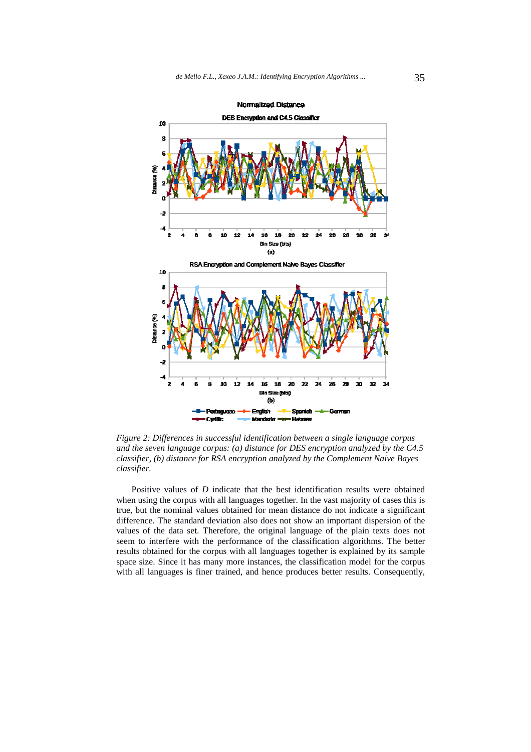

*Figure 2: Differences in successful identification between a single language corpus and the seven language corpus: (a) distance for DES encryption analyzed by the C4.5 classifier, (b) distance for RSA encryption analyzed by the Complement Naive Bayes classifier.* 

Positive values of *D* indicate that the best identification results were obtained when using the corpus with all languages together. In the vast majority of cases this is true, but the nominal values obtained for mean distance do not indicate a significant difference. The standard deviation also does not show an important dispersion of the values of the data set. Therefore, the original language of the plain texts does not seem to interfere with the performance of the classification algorithms. The better results obtained for the corpus with all languages together is explained by its sample space size. Since it has many more instances, the classification model for the corpus with all languages is finer trained, and hence produces better results. Consequently,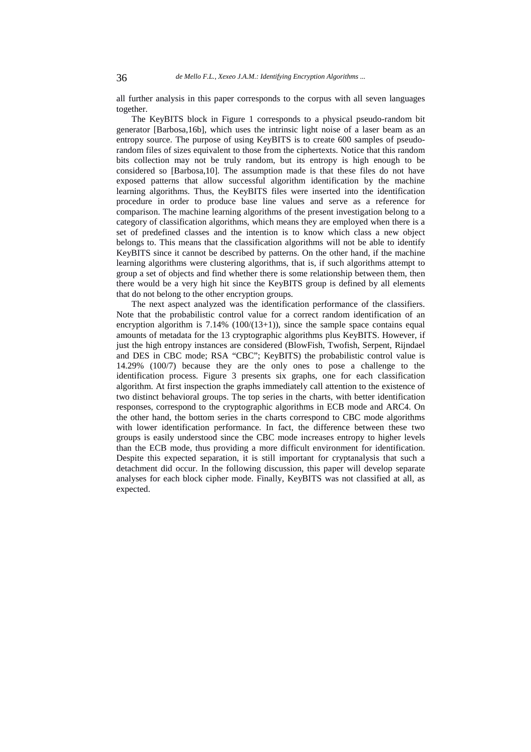all further analysis in this paper corresponds to the corpus with all seven languages together.

The KeyBITS block in Figure 1 corresponds to a physical pseudo-random bit generator [Barbosa,16b], which uses the intrinsic light noise of a laser beam as an entropy source. The purpose of using KeyBITS is to create 600 samples of pseudorandom files of sizes equivalent to those from the ciphertexts. Notice that this random bits collection may not be truly random, but its entropy is high enough to be considered so [Barbosa,10]. The assumption made is that these files do not have exposed patterns that allow successful algorithm identification by the machine learning algorithms. Thus, the KeyBITS files were inserted into the identification procedure in order to produce base line values and serve as a reference for comparison. The machine learning algorithms of the present investigation belong to a category of classification algorithms, which means they are employed when there is a set of predefined classes and the intention is to know which class a new object belongs to. This means that the classification algorithms will not be able to identify KeyBITS since it cannot be described by patterns. On the other hand, if the machine learning algorithms were clustering algorithms, that is, if such algorithms attempt to group a set of objects and find whether there is some relationship between them, then there would be a very high hit since the KeyBITS group is defined by all elements that do not belong to the other encryption groups.

The next aspect analyzed was the identification performance of the classifiers. Note that the probabilistic control value for a correct random identification of an encryption algorithm is  $7.14\%$  (100/(13+1)), since the sample space contains equal amounts of metadata for the 13 cryptographic algorithms plus KeyBITS. However, if just the high entropy instances are considered (BlowFish, Twofish, Serpent, Rijndael and DES in CBC mode; RSA "CBC"; KeyBITS) the probabilistic control value is 14.29% (100/7) because they are the only ones to pose a challenge to the identification process. Figure 3 presents six graphs, one for each classification algorithm. At first inspection the graphs immediately call attention to the existence of two distinct behavioral groups. The top series in the charts, with better identification responses, correspond to the cryptographic algorithms in ECB mode and ARC4. On the other hand, the bottom series in the charts correspond to CBC mode algorithms with lower identification performance. In fact, the difference between these two groups is easily understood since the CBC mode increases entropy to higher levels than the ECB mode, thus providing a more difficult environment for identification. Despite this expected separation, it is still important for cryptanalysis that such a detachment did occur. In the following discussion, this paper will develop separate analyses for each block cipher mode. Finally, KeyBITS was not classified at all, as expected.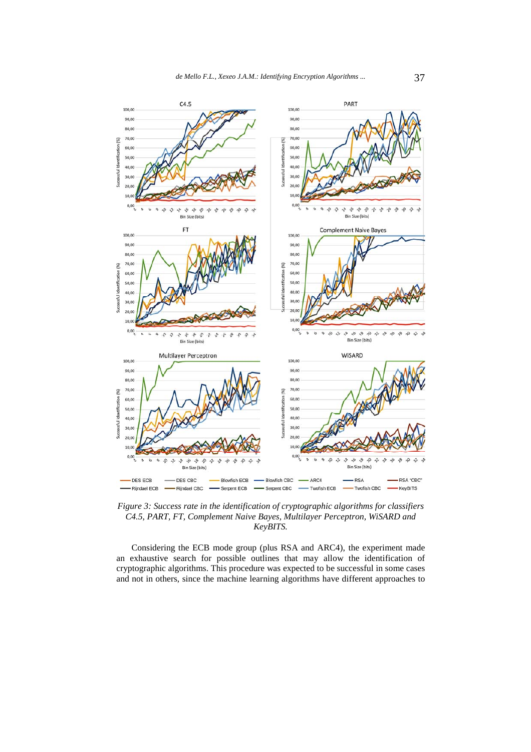

*Figure 3: Success rate in the identification of cryptographic algorithms for classifiers C4.5, PART, FT, Complement Naive Bayes, Multilayer Perceptron, WiSARD and KeyBITS.* 

Considering the ECB mode group (plus RSA and ARC4), the experiment made an exhaustive search for possible outlines that may allow the identification of cryptographic algorithms. This procedure was expected to be successful in some cases and not in others, since the machine learning algorithms have different approaches to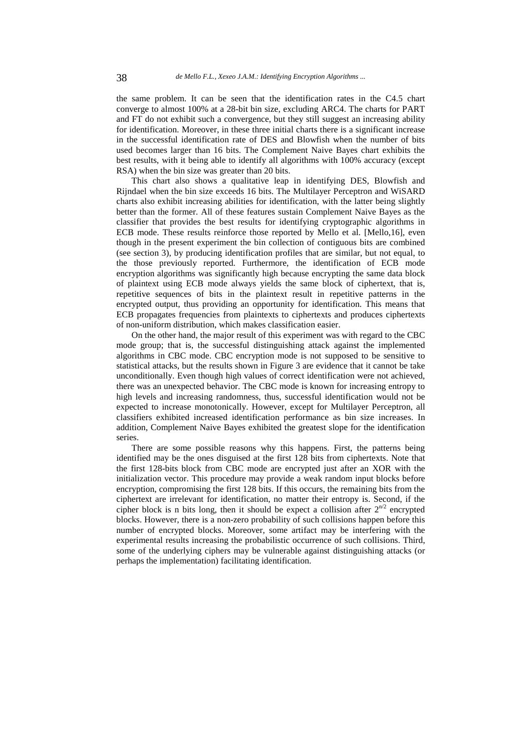the same problem. It can be seen that the identification rates in the C4.5 chart converge to almost 100% at a 28-bit bin size, excluding ARC4. The charts for PART and FT do not exhibit such a convergence, but they still suggest an increasing ability for identification. Moreover, in these three initial charts there is a significant increase in the successful identification rate of DES and Blowfish when the number of bits used becomes larger than 16 bits. The Complement Naive Bayes chart exhibits the best results, with it being able to identify all algorithms with 100% accuracy (except RSA) when the bin size was greater than 20 bits.

This chart also shows a qualitative leap in identifying DES, Blowfish and Rijndael when the bin size exceeds 16 bits. The Multilayer Perceptron and WiSARD charts also exhibit increasing abilities for identification, with the latter being slightly better than the former. All of these features sustain Complement Naive Bayes as the classifier that provides the best results for identifying cryptographic algorithms in ECB mode. These results reinforce those reported by Mello et al. [Mello,16], even though in the present experiment the bin collection of contiguous bits are combined (see section 3), by producing identification profiles that are similar, but not equal, to the those previously reported. Furthermore, the identification of ECB mode encryption algorithms was significantly high because encrypting the same data block of plaintext using ECB mode always yields the same block of ciphertext, that is, repetitive sequences of bits in the plaintext result in repetitive patterns in the encrypted output, thus providing an opportunity for identification. This means that ECB propagates frequencies from plaintexts to ciphertexts and produces ciphertexts of non-uniform distribution, which makes classification easier.

On the other hand, the major result of this experiment was with regard to the CBC mode group; that is, the successful distinguishing attack against the implemented algorithms in CBC mode. CBC encryption mode is not supposed to be sensitive to statistical attacks, but the results shown in Figure 3 are evidence that it cannot be take unconditionally. Even though high values of correct identification were not achieved, there was an unexpected behavior. The CBC mode is known for increasing entropy to high levels and increasing randomness, thus, successful identification would not be expected to increase monotonically. However, except for Multilayer Perceptron, all classifiers exhibited increased identification performance as bin size increases. In addition, Complement Naive Bayes exhibited the greatest slope for the identification series.

There are some possible reasons why this happens. First, the patterns being identified may be the ones disguised at the first 128 bits from ciphertexts. Note that the first 128-bits block from CBC mode are encrypted just after an XOR with the initialization vector. This procedure may provide a weak random input blocks before encryption, compromising the first 128 bits. If this occurs, the remaining bits from the ciphertext are irrelevant for identification, no matter their entropy is. Second, if the cipher block is n bits long, then it should be expect a collision after  $2^{n/2}$  encrypted blocks. However, there is a non-zero probability of such collisions happen before this number of encrypted blocks. Moreover, some artifact may be interfering with the experimental results increasing the probabilistic occurrence of such collisions. Third, some of the underlying ciphers may be vulnerable against distinguishing attacks (or perhaps the implementation) facilitating identification.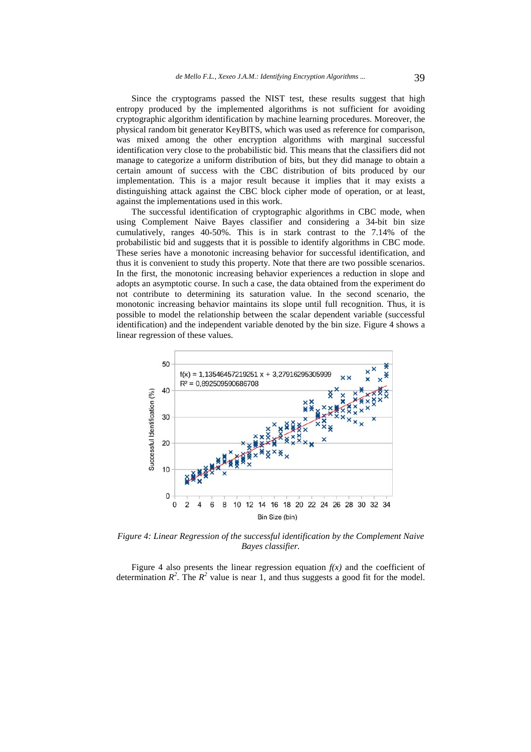Since the cryptograms passed the NIST test, these results suggest that high entropy produced by the implemented algorithms is not sufficient for avoiding cryptographic algorithm identification by machine learning procedures. Moreover, the physical random bit generator KeyBITS, which was used as reference for comparison, was mixed among the other encryption algorithms with marginal successful identification very close to the probabilistic bid. This means that the classifiers did not manage to categorize a uniform distribution of bits, but they did manage to obtain a certain amount of success with the CBC distribution of bits produced by our implementation. This is a major result because it implies that it may exists a distinguishing attack against the CBC block cipher mode of operation, or at least, against the implementations used in this work.

The successful identification of cryptographic algorithms in CBC mode, when using Complement Naive Bayes classifier and considering a 34-bit bin size cumulatively, ranges 40-50%. This is in stark contrast to the 7.14% of the probabilistic bid and suggests that it is possible to identify algorithms in CBC mode. These series have a monotonic increasing behavior for successful identification, and thus it is convenient to study this property. Note that there are two possible scenarios. In the first, the monotonic increasing behavior experiences a reduction in slope and adopts an asymptotic course. In such a case, the data obtained from the experiment do not contribute to determining its saturation value. In the second scenario, the monotonic increasing behavior maintains its slope until full recognition. Thus, it is possible to model the relationship between the scalar dependent variable (successful identification) and the independent variable denoted by the bin size. Figure 4 shows a linear regression of these values.



*Figure 4: Linear Regression of the successful identification by the Complement Naive Bayes classifier.* 

Figure 4 also presents the linear regression equation  $f(x)$  and the coefficient of determination  $R^2$ . The  $R^2$  value is near 1, and thus suggests a good fit for the model.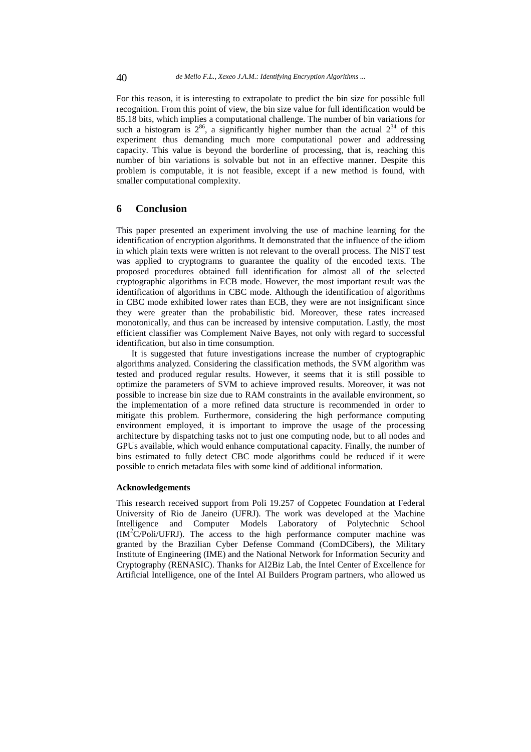For this reason, it is interesting to extrapolate to predict the bin size for possible full recognition. From this point of view, the bin size value for full identification would be 85.18 bits, which implies a computational challenge. The number of bin variations for such a histogram is  $2^{86}$ , a significantly higher number than the actual  $2^{34}$  of this experiment thus demanding much more computational power and addressing capacity. This value is beyond the borderline of processing, that is, reaching this number of bin variations is solvable but not in an effective manner. Despite this problem is computable, it is not feasible, except if a new method is found, with smaller computational complexity.

#### **6 Conclusion**

This paper presented an experiment involving the use of machine learning for the identification of encryption algorithms. It demonstrated that the influence of the idiom in which plain texts were written is not relevant to the overall process. The NIST test was applied to cryptograms to guarantee the quality of the encoded texts. The proposed procedures obtained full identification for almost all of the selected cryptographic algorithms in ECB mode. However, the most important result was the identification of algorithms in CBC mode. Although the identification of algorithms in CBC mode exhibited lower rates than ECB, they were are not insignificant since they were greater than the probabilistic bid. Moreover, these rates increased monotonically, and thus can be increased by intensive computation. Lastly, the most efficient classifier was Complement Naive Bayes, not only with regard to successful identification, but also in time consumption.

It is suggested that future investigations increase the number of cryptographic algorithms analyzed. Considering the classification methods, the SVM algorithm was tested and produced regular results. However, it seems that it is still possible to optimize the parameters of SVM to achieve improved results. Moreover, it was not possible to increase bin size due to RAM constraints in the available environment, so the implementation of a more refined data structure is recommended in order to mitigate this problem. Furthermore, considering the high performance computing environment employed, it is important to improve the usage of the processing architecture by dispatching tasks not to just one computing node, but to all nodes and GPUs available, which would enhance computational capacity. Finally, the number of bins estimated to fully detect CBC mode algorithms could be reduced if it were possible to enrich metadata files with some kind of additional information.

#### **Acknowledgements**

This research received support from Poli 19.257 of Coppetec Foundation at Federal University of Rio de Janeiro (UFRJ). The work was developed at the Machine Intelligence and Computer Models Laboratory of Polytechnic School (IM<sup>2</sup> C/Poli/UFRJ). The access to the high performance computer machine was granted by the Brazilian Cyber Defense Command (ComDCibers), the Military Institute of Engineering (IME) and the National Network for Information Security and Cryptography (RENASIC). Thanks for AI2Biz Lab, the Intel Center of Excellence for Artificial Intelligence, one of the Intel AI Builders Program partners, who allowed us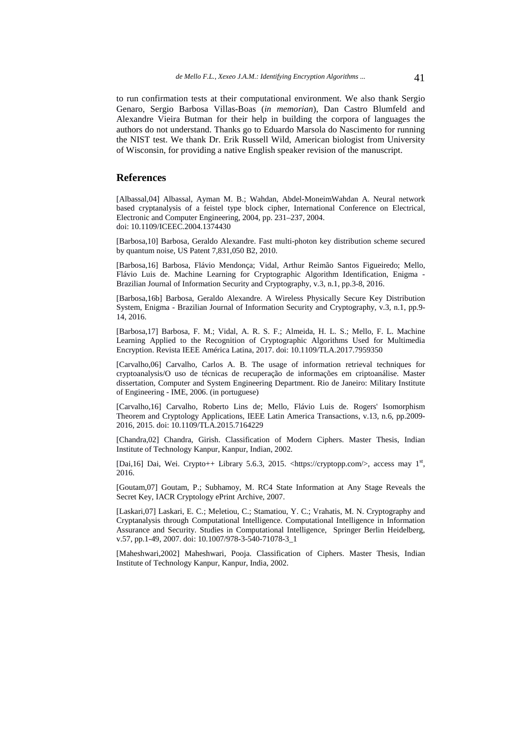to run confirmation tests at their computational environment. We also thank Sergio Genaro, Sergio Barbosa Villas-Boas (*in memorian*), Dan Castro Blumfeld and Alexandre Vieira Butman for their help in building the corpora of languages the authors do not understand. Thanks go to Eduardo Marsola do Nascimento for running the NIST test. We thank Dr. Erik Russell Wild, American biologist from University of Wisconsin, for providing a native English speaker revision of the manuscript.

#### **References**

[Albassal,04] Albassal, Ayman M. B.; Wahdan, Abdel-MoneimWahdan A. Neural network based cryptanalysis of a feistel type block cipher, International Conference on Electrical, Electronic and Computer Engineering, 2004, pp. 231–237, 2004. doi: 10.1109/ICEEC.2004.1374430

[Barbosa,10] Barbosa, Geraldo Alexandre. Fast multi-photon key distribution scheme secured by quantum noise, US Patent 7,831,050 B2, 2010.

[Barbosa,16] Barbosa, Flávio Mendonça; Vidal, Arthur Reimão Santos Figueiredo; Mello, Flávio Luis de. Machine Learning for Cryptographic Algorithm Identification, Enigma - Brazilian Journal of Information Security and Cryptography, v.3, n.1, pp.3-8, 2016.

[Barbosa,16b] Barbosa, Geraldo Alexandre. A Wireless Physically Secure Key Distribution System, Enigma - Brazilian Journal of Information Security and Cryptography, v.3, n.1, pp.9- 14, 2016.

[Barbosa,17] Barbosa, F. M.; Vidal, A. R. S. F.; Almeida, H. L. S.; Mello, F. L. Machine Learning Applied to the Recognition of Cryptographic Algorithms Used for Multimedia Encryption. Revista IEEE América Latina, 2017. doi: 10.1109/TLA.2017.7959350

[Carvalho,06] Carvalho, Carlos A. B. The usage of information retrieval techniques for cryptoanalysis/O uso de técnicas de recuperação de informações em criptoanálise. Master dissertation, Computer and System Engineering Department. Rio de Janeiro: Military Institute of Engineering - IME, 2006. (in portuguese)

[Carvalho,16] Carvalho, Roberto Lins de; Mello, Flávio Luis de. Rogers' Isomorphism Theorem and Cryptology Applications, IEEE Latin America Transactions, v.13, n.6, pp.2009- 2016, 2015. doi: 10.1109/TLA.2015.7164229

[Chandra,02] Chandra, Girish. Classification of Modern Ciphers. Master Thesis, Indian Institute of Technology Kanpur, Kanpur, Indian, 2002.

[Dai,16] Dai, Wei. Crypto++ Library 5.6.3, 2015. <https://cryptopp.com/>, access may 1<sup>st</sup>, 2016.

[Goutam,07] Goutam, P.; Subhamoy, M. RC4 State Information at Any Stage Reveals the Secret Key, IACR Cryptology ePrint Archive, 2007.

[Laskari,07] Laskari, E. C.; Meletiou, C.; Stamatiou, Y. C.; Vrahatis, M. N. Cryptography and Cryptanalysis through Computational Intelligence. Computational Intelligence in Information Assurance and Security. Studies in Computational Intelligence, Springer Berlin Heidelberg, v.57, pp.1-49, 2007. doi: 10.1007/978-3-540-71078-3\_1

[Maheshwari,2002] Maheshwari, Pooja. Classification of Ciphers. Master Thesis, Indian Institute of Technology Kanpur, Kanpur, India, 2002.